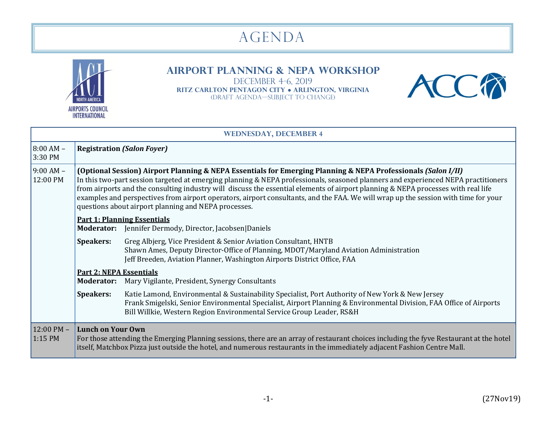## agenda



## **Airport Planning & NEPA Workshop**

DECEMBER 4-6, 2019 **RITZ CARLTON Pentagon City ● Arlington, Virginia**  (draft agenda—Subject to change)



| <b>WEDNESDAY, DECEMBER 4</b>    |                                                                                                                                                                                                                                                                                                                                                                                                                                                                                                                                                                                       |                                                                                                                                                                                                                                                                                                  |  |
|---------------------------------|---------------------------------------------------------------------------------------------------------------------------------------------------------------------------------------------------------------------------------------------------------------------------------------------------------------------------------------------------------------------------------------------------------------------------------------------------------------------------------------------------------------------------------------------------------------------------------------|--------------------------------------------------------------------------------------------------------------------------------------------------------------------------------------------------------------------------------------------------------------------------------------------------|--|
| $8:00 AM -$<br>3:30 PM          | <b>Registration (Salon Foyer)</b>                                                                                                                                                                                                                                                                                                                                                                                                                                                                                                                                                     |                                                                                                                                                                                                                                                                                                  |  |
| $9:00$ AM $-$<br>12:00 PM       | (Optional Session) Airport Planning & NEPA Essentials for Emerging Planning & NEPA Professionals (Salon I/II)<br>In this two-part session targeted at emerging planning & NEPA professionals, seasoned planners and experienced NEPA practitioners<br>from airports and the consulting industry will discuss the essential elements of airport planning & NEPA processes with real life<br>examples and perspectives from airport operators, airport consultants, and the FAA. We will wrap up the session with time for your<br>questions about airport planning and NEPA processes. |                                                                                                                                                                                                                                                                                                  |  |
|                                 |                                                                                                                                                                                                                                                                                                                                                                                                                                                                                                                                                                                       | <b>Part 1: Planning Essentials</b><br><b>Moderator:</b> Jennifer Dermody, Director, Jacobsen Daniels                                                                                                                                                                                             |  |
|                                 | <b>Speakers:</b>                                                                                                                                                                                                                                                                                                                                                                                                                                                                                                                                                                      | Greg Albjerg, Vice President & Senior Aviation Consultant, HNTB<br>Shawn Ames, Deputy Director-Office of Planning, MDOT/Maryland Aviation Administration<br>Jeff Breeden, Aviation Planner, Washington Airports District Office, FAA                                                             |  |
|                                 | <b>Part 2: NEPA Essentials</b>                                                                                                                                                                                                                                                                                                                                                                                                                                                                                                                                                        | Moderator: Mary Vigilante, President, Synergy Consultants                                                                                                                                                                                                                                        |  |
|                                 |                                                                                                                                                                                                                                                                                                                                                                                                                                                                                                                                                                                       |                                                                                                                                                                                                                                                                                                  |  |
|                                 | <b>Speakers:</b>                                                                                                                                                                                                                                                                                                                                                                                                                                                                                                                                                                      | Katie Lamond, Environmental & Sustainability Specialist, Port Authority of New York & New Jersey<br>Frank Smigelski, Senior Environmental Specialist, Airport Planning & Environmental Division, FAA Office of Airports<br>Bill Willkie, Western Region Environmental Service Group Leader, RS&H |  |
| $12:00 \text{ PM} -$<br>1:15 PM | <b>Lunch on Your Own</b>                                                                                                                                                                                                                                                                                                                                                                                                                                                                                                                                                              | For those attending the Emerging Planning sessions, there are an array of restaurant choices including the fyve Restaurant at the hotel<br>itself, Matchbox Pizza just outside the hotel, and numerous restaurants in the immediately adjacent Fashion Centre Mall.                              |  |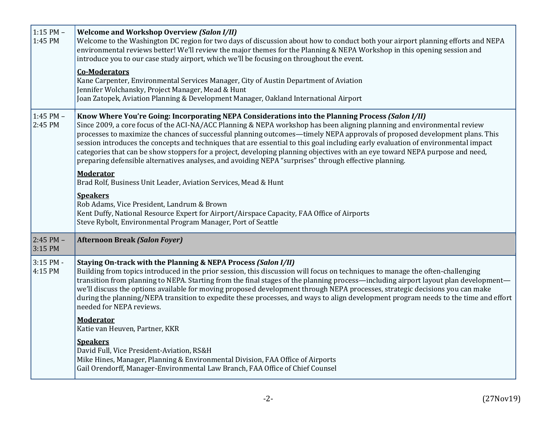| $1:15$ PM $-$<br>1:45 PM | <b>Welcome and Workshop Overview (Salon I/II)</b><br>Welcome to the Washington DC region for two days of discussion about how to conduct both your airport planning efforts and NEPA<br>environmental reviews better! We'll review the major themes for the Planning & NEPA Workshop in this opening session and<br>introduce you to our case study airport, which we'll be focusing on throughout the event.<br><b>Co-Moderators</b><br>Kane Carpenter, Environmental Services Manager, City of Austin Department of Aviation<br>Jennifer Wolchansky, Project Manager, Mead & Hunt                                                                                                                                                       |
|--------------------------|-------------------------------------------------------------------------------------------------------------------------------------------------------------------------------------------------------------------------------------------------------------------------------------------------------------------------------------------------------------------------------------------------------------------------------------------------------------------------------------------------------------------------------------------------------------------------------------------------------------------------------------------------------------------------------------------------------------------------------------------|
|                          | Joan Zatopek, Aviation Planning & Development Manager, Oakland International Airport                                                                                                                                                                                                                                                                                                                                                                                                                                                                                                                                                                                                                                                      |
| 1:45 PM -<br>2:45 PM     | Know Where You're Going: Incorporating NEPA Considerations into the Planning Process (Salon I/II)<br>Since 2009, a core focus of the ACI-NA/ACC Planning & NEPA workshop has been aligning planning and environmental review<br>processes to maximize the chances of successful planning outcomes—timely NEPA approvals of proposed development plans. This<br>session introduces the concepts and techniques that are essential to this goal including early evaluation of environmental impact<br>categories that can be show stoppers for a project, developing planning objectives with an eye toward NEPA purpose and need,<br>preparing defensible alternatives analyses, and avoiding NEPA "surprises" through effective planning. |
|                          | <b>Moderator</b><br>Brad Rolf, Business Unit Leader, Aviation Services, Mead & Hunt                                                                                                                                                                                                                                                                                                                                                                                                                                                                                                                                                                                                                                                       |
|                          | <b>Speakers</b><br>Rob Adams, Vice President, Landrum & Brown<br>Kent Duffy, National Resource Expert for Airport/Airspace Capacity, FAA Office of Airports<br>Steve Rybolt, Environmental Program Manager, Port of Seattle                                                                                                                                                                                                                                                                                                                                                                                                                                                                                                               |
| $2:45$ PM $-$<br>3:15 PM | <b>Afternoon Break (Salon Foyer)</b>                                                                                                                                                                                                                                                                                                                                                                                                                                                                                                                                                                                                                                                                                                      |
| 3:15 PM -<br>4:15 PM     | Staying On-track with the Planning & NEPA Process (Salon I/II)<br>Building from topics introduced in the prior session, this discussion will focus on techniques to manage the often-challenging<br>transition from planning to NEPA. Starting from the final stages of the planning process—including airport layout plan development—<br>we'll discuss the options available for moving proposed development through NEPA processes, strategic decisions you can make<br>during the planning/NEPA transition to expedite these processes, and ways to align development program needs to the time and effort<br>needed for NEPA reviews.                                                                                                |
|                          | <b>Moderator</b><br>Katie van Heuven, Partner, KKR                                                                                                                                                                                                                                                                                                                                                                                                                                                                                                                                                                                                                                                                                        |
|                          | <b>Speakers</b><br>David Full, Vice President-Aviation, RS&H<br>Mike Hines, Manager, Planning & Environmental Division, FAA Office of Airports<br>Gail Orendorff, Manager-Environmental Law Branch, FAA Office of Chief Counsel                                                                                                                                                                                                                                                                                                                                                                                                                                                                                                           |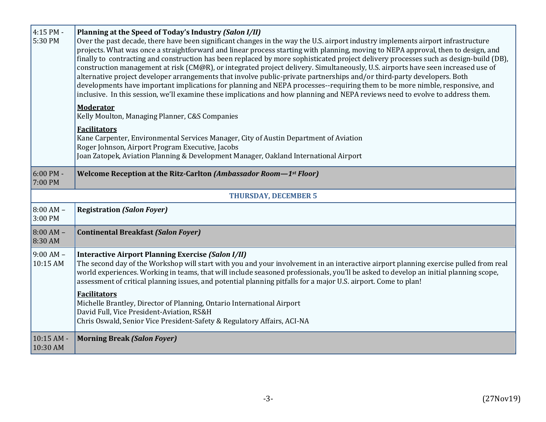| 4:15 PM -<br>5:30 PM           | Planning at the Speed of Today's Industry (Salon I/II)<br>Over the past decade, there have been significant changes in the way the U.S. airport industry implements airport infrastructure<br>projects. What was once a straightforward and linear process starting with planning, moving to NEPA approval, then to design, and<br>finally to contracting and construction has been replaced by more sophisticated project delivery processes such as design-build (DB),<br>construction management at risk (CM@R), or integrated project delivery. Simultaneously, U.S. airports have seen increased use of<br>alternative project developer arrangements that involve public-private partnerships and/or third-party developers. Both<br>developments have important implications for planning and NEPA processes--requiring them to be more nimble, responsive, and<br>inclusive. In this session, we'll examine these implications and how planning and NEPA reviews need to evolve to address them. |  |
|--------------------------------|----------------------------------------------------------------------------------------------------------------------------------------------------------------------------------------------------------------------------------------------------------------------------------------------------------------------------------------------------------------------------------------------------------------------------------------------------------------------------------------------------------------------------------------------------------------------------------------------------------------------------------------------------------------------------------------------------------------------------------------------------------------------------------------------------------------------------------------------------------------------------------------------------------------------------------------------------------------------------------------------------------|--|
|                                | <b>Moderator</b><br>Kelly Moulton, Managing Planner, C&S Companies                                                                                                                                                                                                                                                                                                                                                                                                                                                                                                                                                                                                                                                                                                                                                                                                                                                                                                                                       |  |
|                                | <b>Facilitators</b><br>Kane Carpenter, Environmental Services Manager, City of Austin Department of Aviation<br>Roger Johnson, Airport Program Executive, Jacobs<br>Joan Zatopek, Aviation Planning & Development Manager, Oakland International Airport                                                                                                                                                                                                                                                                                                                                                                                                                                                                                                                                                                                                                                                                                                                                                 |  |
| $6:00 \text{ PM} -$<br>7:00 PM | Welcome Reception at the Ritz-Carlton (Ambassador Room-1st Floor)                                                                                                                                                                                                                                                                                                                                                                                                                                                                                                                                                                                                                                                                                                                                                                                                                                                                                                                                        |  |
|                                | <b>THURSDAY, DECEMBER 5</b>                                                                                                                                                                                                                                                                                                                                                                                                                                                                                                                                                                                                                                                                                                                                                                                                                                                                                                                                                                              |  |
| $8:00 AM -$<br>3:00 PM         | <b>Registration (Salon Foyer)</b>                                                                                                                                                                                                                                                                                                                                                                                                                                                                                                                                                                                                                                                                                                                                                                                                                                                                                                                                                                        |  |
| $8:00 AM -$<br>8:30 AM         | <b>Continental Breakfast (Salon Foyer)</b>                                                                                                                                                                                                                                                                                                                                                                                                                                                                                                                                                                                                                                                                                                                                                                                                                                                                                                                                                               |  |
| $9:00 AM -$<br>10:15 AM        | <b>Interactive Airport Planning Exercise (Salon I/II)</b><br>The second day of the Workshop will start with you and your involvement in an interactive airport planning exercise pulled from real<br>world experiences. Working in teams, that will include seasoned professionals, you'll be asked to develop an initial planning scope,<br>assessment of critical planning issues, and potential planning pitfalls for a major U.S. airport. Come to plan!                                                                                                                                                                                                                                                                                                                                                                                                                                                                                                                                             |  |
|                                | <b>Facilitators</b><br>Michelle Brantley, Director of Planning, Ontario International Airport<br>David Full, Vice President-Aviation, RS&H<br>Chris Oswald, Senior Vice President-Safety & Regulatory Affairs, ACI-NA                                                                                                                                                                                                                                                                                                                                                                                                                                                                                                                                                                                                                                                                                                                                                                                    |  |
| $10:15AM -$<br>10:30 AM        | <b>Morning Break (Salon Foyer)</b>                                                                                                                                                                                                                                                                                                                                                                                                                                                                                                                                                                                                                                                                                                                                                                                                                                                                                                                                                                       |  |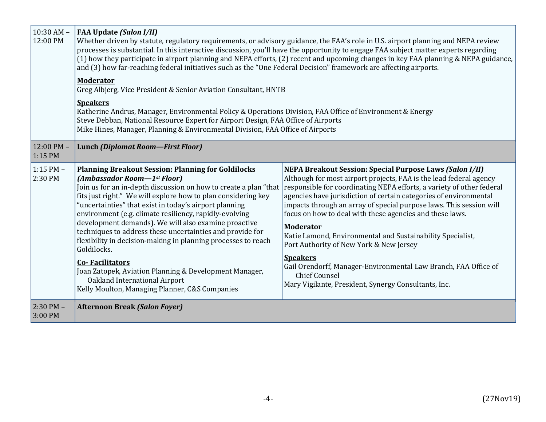| $10:30$ AM $-$<br>12:00 PM        | <b>FAA Update (Salon I/II)</b><br>Whether driven by statute, regulatory requirements, or advisory guidance, the FAA's role in U.S. airport planning and NEPA review<br>processes is substantial. In this interactive discussion, you'll have the opportunity to engage FAA subject matter experts regarding<br>(1) how they participate in airport planning and NEPA efforts, (2) recent and upcoming changes in key FAA planning & NEPA guidance,<br>and (3) how far-reaching federal initiatives such as the "One Federal Decision" framework are affecting airports.<br><b>Moderator</b>                                                                                                                                   |                                                                                                                                                                                                                                                                                                                                                                                                                                                                                                                                                                                                                                                                                                                           |  |  |
|-----------------------------------|-------------------------------------------------------------------------------------------------------------------------------------------------------------------------------------------------------------------------------------------------------------------------------------------------------------------------------------------------------------------------------------------------------------------------------------------------------------------------------------------------------------------------------------------------------------------------------------------------------------------------------------------------------------------------------------------------------------------------------|---------------------------------------------------------------------------------------------------------------------------------------------------------------------------------------------------------------------------------------------------------------------------------------------------------------------------------------------------------------------------------------------------------------------------------------------------------------------------------------------------------------------------------------------------------------------------------------------------------------------------------------------------------------------------------------------------------------------------|--|--|
|                                   | Greg Albjerg, Vice President & Senior Aviation Consultant, HNTB                                                                                                                                                                                                                                                                                                                                                                                                                                                                                                                                                                                                                                                               |                                                                                                                                                                                                                                                                                                                                                                                                                                                                                                                                                                                                                                                                                                                           |  |  |
|                                   | <b>Speakers</b><br>Katherine Andrus, Manager, Environmental Policy & Operations Division, FAA Office of Environment & Energy<br>Steve Debban, National Resource Expert for Airport Design, FAA Office of Airports<br>Mike Hines, Manager, Planning & Environmental Division, FAA Office of Airports                                                                                                                                                                                                                                                                                                                                                                                                                           |                                                                                                                                                                                                                                                                                                                                                                                                                                                                                                                                                                                                                                                                                                                           |  |  |
| $12:00 \text{ PM} -$<br>$1:15$ PM | Lunch (Diplomat Room-First Floor)                                                                                                                                                                                                                                                                                                                                                                                                                                                                                                                                                                                                                                                                                             |                                                                                                                                                                                                                                                                                                                                                                                                                                                                                                                                                                                                                                                                                                                           |  |  |
| $1:15$ PM $-$<br>2:30 PM          | <b>Planning Breakout Session: Planning for Goldilocks</b><br>(Ambassador Room-1st Floor)<br>Join us for an in-depth discussion on how to create a plan "that<br>fits just right." We will explore how to plan considering key<br>"uncertainties" that exist in today's airport planning<br>environment (e.g. climate resiliency, rapidly-evolving<br>development demands). We will also examine proactive<br>techniques to address these uncertainties and provide for<br>flexibility in decision-making in planning processes to reach<br>Goldilocks.<br><b>Co-Facilitators</b><br>Joan Zatopek, Aviation Planning & Development Manager,<br>Oakland International Airport<br>Kelly Moulton, Managing Planner, C&S Companies | <b>NEPA Breakout Session: Special Purpose Laws (Salon I/II)</b><br>Although for most airport projects, FAA is the lead federal agency<br>responsible for coordinating NEPA efforts, a variety of other federal<br>agencies have jurisdiction of certain categories of environmental<br>impacts through an array of special purpose laws. This session will<br>focus on how to deal with these agencies and these laws.<br><b>Moderator</b><br>Katie Lamond, Environmental and Sustainability Specialist,<br>Port Authority of New York & New Jersey<br><b>Speakers</b><br>Gail Orendorff, Manager-Environmental Law Branch, FAA Office of<br><b>Chief Counsel</b><br>Mary Vigilante, President, Synergy Consultants, Inc. |  |  |
| $2:30$ PM –<br>3:00 PM            | <b>Afternoon Break (Salon Foyer)</b>                                                                                                                                                                                                                                                                                                                                                                                                                                                                                                                                                                                                                                                                                          |                                                                                                                                                                                                                                                                                                                                                                                                                                                                                                                                                                                                                                                                                                                           |  |  |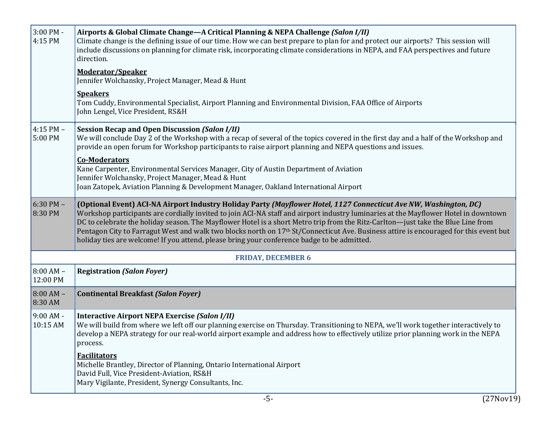| 3:00 PM -<br>4:15 PM     | Airports & Global Climate Change—A Critical Planning & NEPA Challenge (Salon I/II)<br>Climate change is the defining issue of our time. How we can best prepare to plan for and protect our airports? This session will<br>include discussions on planning for climate risk, incorporating climate considerations in NEPA, and FAA perspectives and future<br>direction.                                                                                                                                                                                                                                                             |  |  |
|--------------------------|--------------------------------------------------------------------------------------------------------------------------------------------------------------------------------------------------------------------------------------------------------------------------------------------------------------------------------------------------------------------------------------------------------------------------------------------------------------------------------------------------------------------------------------------------------------------------------------------------------------------------------------|--|--|
|                          | <b>Moderator/Speaker</b><br>Jennifer Wolchansky, Project Manager, Mead & Hunt                                                                                                                                                                                                                                                                                                                                                                                                                                                                                                                                                        |  |  |
|                          | <b>Speakers</b><br>Tom Cuddy, Environmental Specialist, Airport Planning and Environmental Division, FAA Office of Airports<br>John Lengel, Vice President, RS&H                                                                                                                                                                                                                                                                                                                                                                                                                                                                     |  |  |
| $4:15$ PM $-$<br>5:00 PM | <b>Session Recap and Open Discussion (Salon I/II)</b><br>We will conclude Day 2 of the Workshop with a recap of several of the topics covered in the first day and a half of the Workshop and<br>provide an open forum for Workshop participants to raise airport planning and NEPA questions and issues.                                                                                                                                                                                                                                                                                                                            |  |  |
|                          | <b>Co-Moderators</b><br>Kane Carpenter, Environmental Services Manager, City of Austin Department of Aviation<br>Jennifer Wolchansky, Project Manager, Mead & Hunt<br>Joan Zatopek, Aviation Planning & Development Manager, Oakland International Airport                                                                                                                                                                                                                                                                                                                                                                           |  |  |
| $6:30$ PM $-$<br>8:30 PM | (Optional Event) ACI-NA Airport Industry Holiday Party (Mayflower Hotel, 1127 Connecticut Ave NW, Washington, DC)<br>Workshop participants are cordially invited to join ACI-NA staff and airport industry luminaries at the Mayflower Hotel in downtown<br>DC to celebrate the holiday season. The Mayflower Hotel is a short Metro trip from the Ritz-Carlton-just take the Blue Line from<br>Pentagon City to Farragut West and walk two blocks north on 17th St/Connecticut Ave. Business attire is encouraged for this event but<br>holiday ties are welcome! If you attend, please bring your conference badge to be admitted. |  |  |
|                          | <b>FRIDAY, DECEMBER 6</b>                                                                                                                                                                                                                                                                                                                                                                                                                                                                                                                                                                                                            |  |  |
| $8:00 AM -$<br>12:00 PM  | <b>Registration (Salon Foyer)</b>                                                                                                                                                                                                                                                                                                                                                                                                                                                                                                                                                                                                    |  |  |
| $8:00 AM -$<br>8:30 AM   | <b>Continental Breakfast (Salon Foyer)</b>                                                                                                                                                                                                                                                                                                                                                                                                                                                                                                                                                                                           |  |  |
| $9:00AM -$<br>10:15 AM   | <b>Interactive Airport NEPA Exercise (Salon I/II)</b><br>We will build from where we left off our planning exercise on Thursday. Transitioning to NEPA, we'll work together interactively to<br>develop a NEPA strategy for our real-world airport example and address how to effectively utilize prior planning work in the NEPA<br>process.                                                                                                                                                                                                                                                                                        |  |  |
|                          | <b>Facilitators</b><br>Michelle Brantley, Director of Planning, Ontario International Airport<br>David Full, Vice President-Aviation, RS&H<br>Mary Vigilante, President, Synergy Consultants, Inc.                                                                                                                                                                                                                                                                                                                                                                                                                                   |  |  |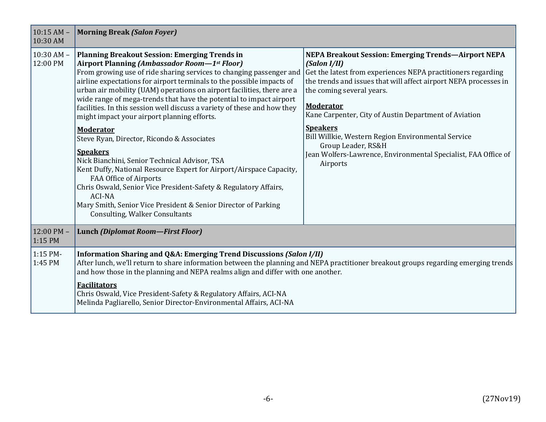| $10:15$ AM $-$<br>10:30 AM | <b>Morning Break (Salon Foyer)</b>                                                                                                                                                                                                                                                                                                                                                                                                                                                                                                                                                                                                                                                                                                                                                                                                                                                                                                                                             |                                                                                                                                                                                                                                                                                                                                                                                                                                                                                                       |  |
|----------------------------|--------------------------------------------------------------------------------------------------------------------------------------------------------------------------------------------------------------------------------------------------------------------------------------------------------------------------------------------------------------------------------------------------------------------------------------------------------------------------------------------------------------------------------------------------------------------------------------------------------------------------------------------------------------------------------------------------------------------------------------------------------------------------------------------------------------------------------------------------------------------------------------------------------------------------------------------------------------------------------|-------------------------------------------------------------------------------------------------------------------------------------------------------------------------------------------------------------------------------------------------------------------------------------------------------------------------------------------------------------------------------------------------------------------------------------------------------------------------------------------------------|--|
| $10:30$ AM $-$<br>12:00 PM | <b>Planning Breakout Session: Emerging Trends in</b><br>Airport Planning (Ambassador Room—1st Floor)<br>From growing use of ride sharing services to changing passenger and<br>airline expectations for airport terminals to the possible impacts of<br>urban air mobility (UAM) operations on airport facilities, there are a<br>wide range of mega-trends that have the potential to impact airport<br>facilities. In this session well discuss a variety of these and how they<br>might impact your airport planning efforts.<br><b>Moderator</b><br>Steve Ryan, Director, Ricondo & Associates<br><b>Speakers</b><br>Nick Bianchini, Senior Technical Advisor, TSA<br>Kent Duffy, National Resource Expert for Airport/Airspace Capacity,<br><b>FAA Office of Airports</b><br>Chris Oswald, Senior Vice President-Safety & Regulatory Affairs,<br><b>ACI-NA</b><br>Mary Smith, Senior Vice President & Senior Director of Parking<br><b>Consulting, Walker Consultants</b> | <b>NEPA Breakout Session: Emerging Trends-Airport NEPA</b><br>(Salon I/II)<br>Get the latest from experiences NEPA practitioners regarding<br>the trends and issues that will affect airport NEPA processes in<br>the coming several years.<br><b>Moderator</b><br>Kane Carpenter, City of Austin Department of Aviation<br><b>Speakers</b><br>Bill Willkie, Western Region Environmental Service<br>Group Leader, RS&H<br>Jean Wolfers-Lawrence, Environmental Specialist, FAA Office of<br>Airports |  |
| 12:00 PM -<br>1:15 PM      | <b>Lunch (Diplomat Room-First Floor)</b>                                                                                                                                                                                                                                                                                                                                                                                                                                                                                                                                                                                                                                                                                                                                                                                                                                                                                                                                       |                                                                                                                                                                                                                                                                                                                                                                                                                                                                                                       |  |
| 1:15 PM-<br>1:45 PM        | Information Sharing and Q&A: Emerging Trend Discussions (Salon I/II)<br>After lunch, we'll return to share information between the planning and NEPA practitioner breakout groups regarding emerging trends<br>and how those in the planning and NEPA realms align and differ with one another.<br><b>Facilitators</b><br>Chris Oswald, Vice President-Safety & Regulatory Affairs, ACI-NA<br>Melinda Pagliarello, Senior Director-Environmental Affairs, ACI-NA                                                                                                                                                                                                                                                                                                                                                                                                                                                                                                               |                                                                                                                                                                                                                                                                                                                                                                                                                                                                                                       |  |